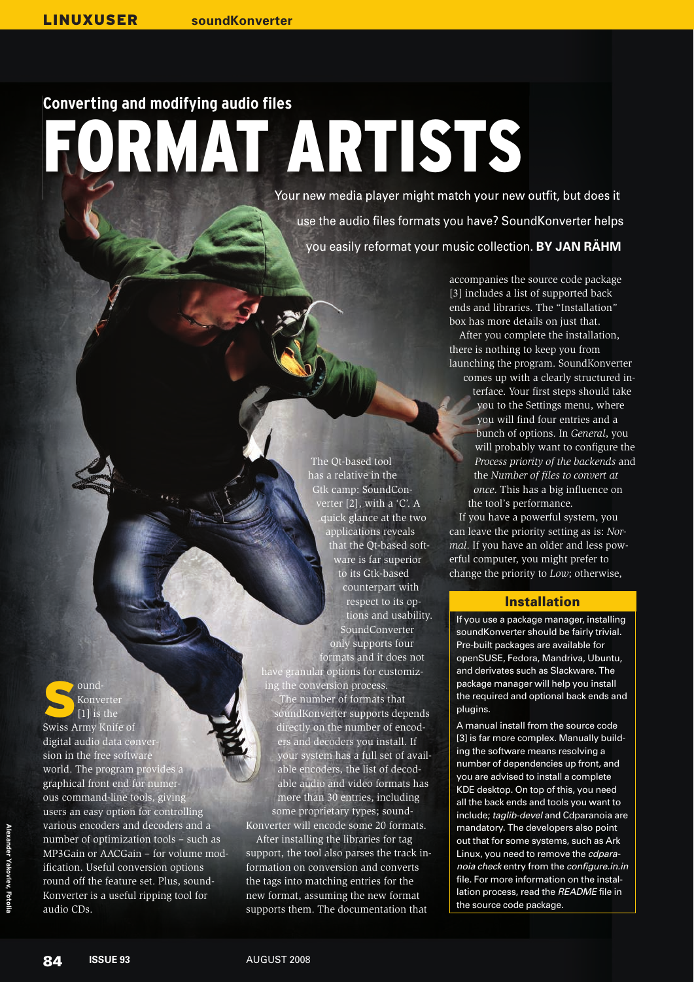## Converting and modifying audio files RMAT ARTISTS

Your new media player might match your new outfit, but does it use the audio files formats you have? SoundKonverter helps you easily reformat your music collection. **BY JAN RÄHM**

> accompanies the source code package [3] includes a list of supported back ends and libraries. The "Installation" box has more details on just that.

After you complete the installation, there is nothing to keep you from launching the program. SoundKonverter comes up with a clearly structured in-

> terface. Your first steps should take you to the Settings menu, where you will find four entries and a bunch of options. In *General*, you will probably want to configure the *Process priority of the backends* and the *Number of files to convert at once*. This has a big influence on the tool's performance.

If you have a powerful system, you can leave the priority setting as is: *Normal*. If you have an older and less powerful computer, you might prefer to change the priority to *Low*; otherwise,

## Installation

If you use a package manager, installing soundKonverter should be fairly trivial. Pre-built packages are available for openSUSE, Fedora, Mandriva, Ubuntu, and derivates such as Slackware. The package manager will help you install the required and optional back ends and plugins.

A manual install from the source code [3] is far more complex. Manually building the software means resolving a number of dependencies up front, and you are advised to install a complete KDE desktop. On top of this, you need all the back ends and tools you want to include; taglib-devel and Cdparanoia are mandatory. The developers also point out that for some systems, such as Ark Linux, you need to remove the cdparanoia check entry from the configure.in.in file. For more information on the installation process, read the README file in the source code package.

Swiss Army Knife of ound-Konverter [1] is the digital audio data conversion in the free software world. The program provides a graphical front end for numerous command-line tools, giving users an easy option for controlling various encoders and decoders and a number of optimization tools – such as MP3Gain or AACGain – for volume modification. Useful conversion options round off the feature set. Plus, sound-

Konverter is a useful ripping tool for

The Qt-based tool has a relative in the Gtk camp: SoundConverter  $[2]$ , with a 'C'. A quick glance at the two applications reveals that the Qt-based software is far superior to its Gtk-based counterpart with respect to its options and usability. SoundConverter only supports four

formats and it does not have granular options for customizing the conversion process. The number of formats that

soundKonverter supports depends directly on the number of encoders and decoders you install. If your system has a full set of available encoders, the list of decodable audio and video formats has more than 30 entries, including some proprietary types; sound-Konverter will encode some 20 formats.

After installing the libraries for tag support, the tool also parses the track information on conversion and converts the tags into matching entries for the new format, assuming the new format supports them. The documentation that

audio CDs.